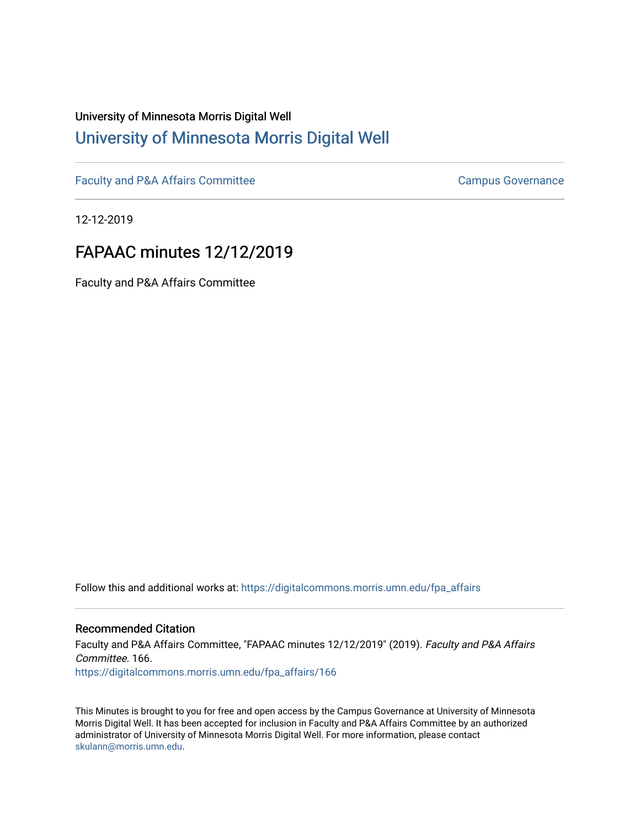# University of Minnesota Morris Digital Well [University of Minnesota Morris Digital Well](https://digitalcommons.morris.umn.edu/)

[Faculty and P&A Affairs Committee](https://digitalcommons.morris.umn.edu/fpa_affairs) [Campus Governance](https://digitalcommons.morris.umn.edu/campgov) Campus Governance

12-12-2019

## FAPAAC minutes 12/12/2019

Faculty and P&A Affairs Committee

Follow this and additional works at: [https://digitalcommons.morris.umn.edu/fpa\\_affairs](https://digitalcommons.morris.umn.edu/fpa_affairs?utm_source=digitalcommons.morris.umn.edu%2Ffpa_affairs%2F166&utm_medium=PDF&utm_campaign=PDFCoverPages)

### Recommended Citation

Faculty and P&A Affairs Committee, "FAPAAC minutes 12/12/2019" (2019). Faculty and P&A Affairs Committee. 166. [https://digitalcommons.morris.umn.edu/fpa\\_affairs/166](https://digitalcommons.morris.umn.edu/fpa_affairs/166?utm_source=digitalcommons.morris.umn.edu%2Ffpa_affairs%2F166&utm_medium=PDF&utm_campaign=PDFCoverPages)

This Minutes is brought to you for free and open access by the Campus Governance at University of Minnesota Morris Digital Well. It has been accepted for inclusion in Faculty and P&A Affairs Committee by an authorized administrator of University of Minnesota Morris Digital Well. For more information, please contact [skulann@morris.umn.edu.](mailto:skulann@morris.umn.edu)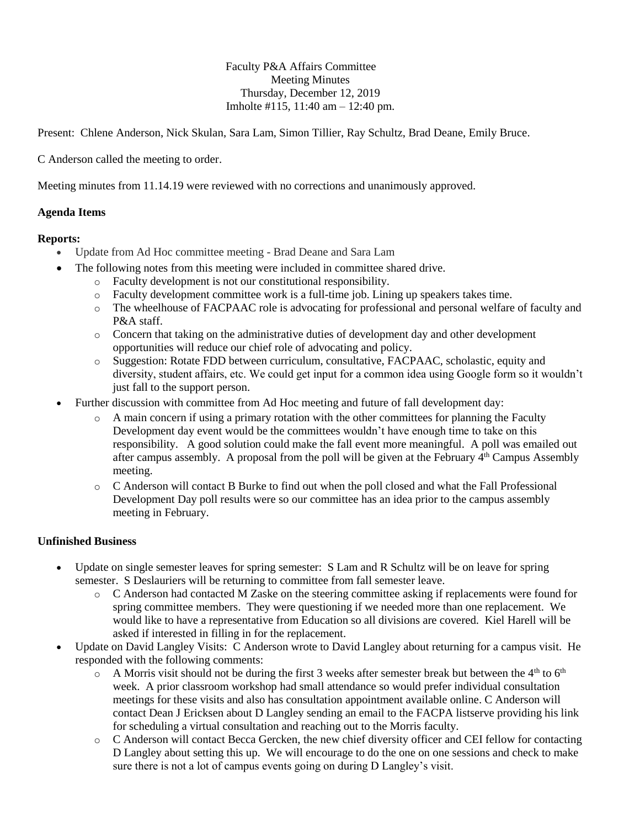Faculty P&A Affairs Committee Meeting Minutes Thursday, December 12, 2019 Imholte #115, 11:40 am – 12:40 pm.

Present: Chlene Anderson, Nick Skulan, Sara Lam, Simon Tillier, Ray Schultz, Brad Deane, Emily Bruce.

C Anderson called the meeting to order.

Meeting minutes from 11.14.19 were reviewed with no corrections and unanimously approved.

### **Agenda Items**

### **Reports:**

- Update from Ad Hoc committee meeting Brad Deane and Sara Lam
	- The following notes from this meeting were included in committee shared drive.
		- o Faculty development is not our constitutional responsibility.
		- o Faculty development committee work is a full-time job. Lining up speakers takes time.
		- o The wheelhouse of FACPAAC role is advocating for professional and personal welfare of faculty and P&A staff.
		- o Concern that taking on the administrative duties of development day and other development opportunities will reduce our chief role of advocating and policy.
		- o Suggestion: Rotate FDD between curriculum, consultative, FACPAAC, scholastic, equity and diversity, student affairs, etc. We could get input for a common idea using Google form so it wouldn't just fall to the support person.
- Further discussion with committee from Ad Hoc meeting and future of fall development day:
	- $\circ$  A main concern if using a primary rotation with the other committees for planning the Faculty Development day event would be the committees wouldn't have enough time to take on this responsibility. A good solution could make the fall event more meaningful. A poll was emailed out after campus assembly. A proposal from the poll will be given at the February  $4<sup>th</sup>$  Campus Assembly meeting.
	- o C Anderson will contact B Burke to find out when the poll closed and what the Fall Professional Development Day poll results were so our committee has an idea prior to the campus assembly meeting in February.

### **Unfinished Business**

- Update on single semester leaves for spring semester: S Lam and R Schultz will be on leave for spring semester. S Deslauriers will be returning to committee from fall semester leave.
	- o C Anderson had contacted M Zaske on the steering committee asking if replacements were found for spring committee members. They were questioning if we needed more than one replacement. We would like to have a representative from Education so all divisions are covered. Kiel Harell will be asked if interested in filling in for the replacement.
- Update on David Langley Visits: C Anderson wrote to David Langley about returning for a campus visit. He responded with the following comments:
	- $\circ$  A Morris visit should not be during the first 3 weeks after semester break but between the 4<sup>th</sup> to 6<sup>th</sup> week. A prior classroom workshop had small attendance so would prefer individual consultation meetings for these visits and also has consultation appointment available online. C Anderson will contact Dean J Ericksen about D Langley sending an email to the FACPA listserve providing his link for scheduling a virtual consultation and reaching out to the Morris faculty.
	- o C Anderson will contact Becca Gercken, the new chief diversity officer and CEI fellow for contacting D Langley about setting this up. We will encourage to do the one on one sessions and check to make sure there is not a lot of campus events going on during D Langley's visit.